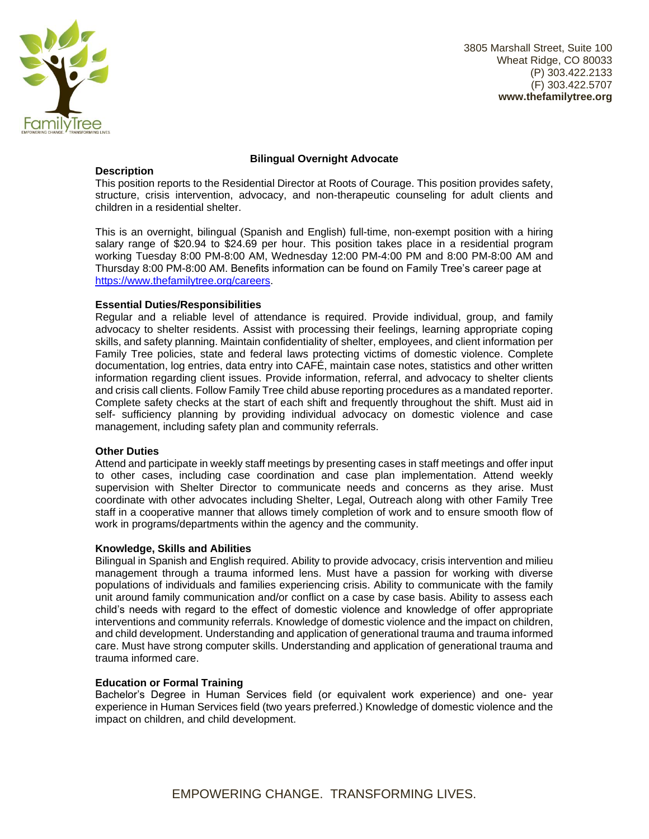

3805 Marshall Street, Suite 100 Wheat Ridge, CO 80033 (P) 303.422.2133 (F) 303.422.5707 **www.thefamilytree.org**

## **Description**

#### **Bilingual Overnight Advocate**

This position reports to the Residential Director at Roots of Courage. This position provides safety, structure, crisis intervention, advocacy, and non-therapeutic counseling for adult clients and children in a residential shelter.

This is an overnight, bilingual (Spanish and English) full-time, non-exempt position with a hiring salary range of \$20.94 to \$24.69 per hour. This position takes place in a residential program working Tuesday 8:00 PM-8:00 AM, Wednesday 12:00 PM-4:00 PM and 8:00 PM-8:00 AM and Thursday 8:00 PM-8:00 AM. Benefits information can be found on Family Tree's career page at [https://www.thefamilytree.org/careers.](https://www.thefamilytree.org/careers)

## **Essential Duties/Responsibilities**

Regular and a reliable level of attendance is required. Provide individual, group, and family advocacy to shelter residents. Assist with processing their feelings, learning appropriate coping skills, and safety planning. Maintain confidentiality of shelter, employees, and client information per Family Tree policies, state and federal laws protecting victims of domestic violence. Complete documentation, log entries, data entry into CAFÉ, maintain case notes, statistics and other written information regarding client issues. Provide information, referral, and advocacy to shelter clients and crisis call clients. Follow Family Tree child abuse reporting procedures as a mandated reporter. Complete safety checks at the start of each shift and frequently throughout the shift. Must aid in self- sufficiency planning by providing individual advocacy on domestic violence and case management, including safety plan and community referrals.

## **Other Duties**

Attend and participate in weekly staff meetings by presenting cases in staff meetings and offer input to other cases, including case coordination and case plan implementation. Attend weekly supervision with Shelter Director to communicate needs and concerns as they arise. Must coordinate with other advocates including Shelter, Legal, Outreach along with other Family Tree staff in a cooperative manner that allows timely completion of work and to ensure smooth flow of work in programs/departments within the agency and the community.

## **Knowledge, Skills and Abilities**

Bilingual in Spanish and English required. Ability to provide advocacy, crisis intervention and milieu management through a trauma informed lens. Must have a passion for working with diverse populations of individuals and families experiencing crisis. Ability to communicate with the family unit around family communication and/or conflict on a case by case basis. Ability to assess each child's needs with regard to the effect of domestic violence and knowledge of offer appropriate interventions and community referrals. Knowledge of domestic violence and the impact on children, and child development. Understanding and application of generational trauma and trauma informed care. Must have strong computer skills. Understanding and application of generational trauma and trauma informed care.

#### **Education or Formal Training**

Bachelor's Degree in Human Services field (or equivalent work experience) and one- year experience in Human Services field (two years preferred.) Knowledge of domestic violence and the impact on children, and child development.